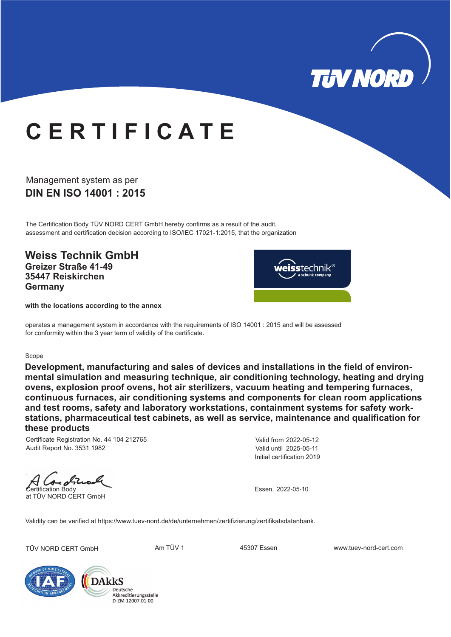

## **C E R T I F I C A T E**

### **DIN EN ISO 14001 : 2015** Management system as per

The Certification Body TÜV NORD CERT GmbH hereby confirms as a result of the audit, assessment and certification decision according to ISO/IEC 17021-1:2015, that the organization

**Weiss Technik GmbH Greizer Straße 41-49 35447 Reiskirchen Germany**



**with the locations according to the annex**

operates a management system in accordance with the requirements of ISO 14001 : 2015 and will be assessed for conformity within the 3 year term of validity of the certificate.

#### Scope

**Development, manufacturing and sales of devices and installations in the field of environmental simulation and measuring technique, air conditioning technology, heating and drying ovens, explosion proof ovens, hot air sterilizers, vacuum heating and tempering furnaces, continuous furnaces, air conditioning systems and components for clean room applications and test rooms, safety and laboratory workstations, containment systems for safety workstations, pharmaceutical test cabinets, as well as service, maintenance and qualification for these products**

Certificate Registration No. 44 104 212765 Audit Report No. 3531 1982

Initial certification 2019 Valid from 2022-05-12 Valid until 2025-05-11

Certification Body at TÜV NORD CERT GmbH

Essen, 2022-05-10

Validity can be verified at https://www.tuev-nord.de/de/unternehmen/zertifizierung/zertifikatsdatenbank.

TÜV NORD CERT GmbH **Am TÜV 1** 45307 Essen www.tuev-nord-cert.com



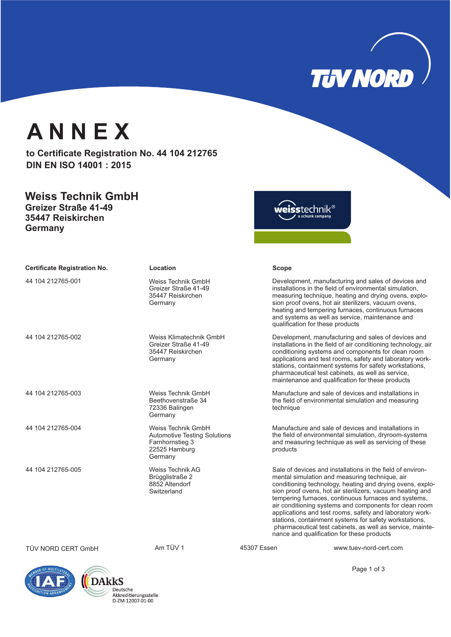

## **A N N E X**

to Certificate Registration No. 44 104 212765 **DIN EN ISO 14001 : 2015**

### **Weiss Technik GmbH Greizer Straße 41-49**

**35447 Reiskirchen Germany**

weisstechnik®

| <b>Certificate Registration No.</b> | Location                                                                                                 |             | <b>Scope</b>                     |                                                                                                                                                                                                                                                                                                                                                                                                                                                                                                                                                                                           |
|-------------------------------------|----------------------------------------------------------------------------------------------------------|-------------|----------------------------------|-------------------------------------------------------------------------------------------------------------------------------------------------------------------------------------------------------------------------------------------------------------------------------------------------------------------------------------------------------------------------------------------------------------------------------------------------------------------------------------------------------------------------------------------------------------------------------------------|
| 44 104 212765-001                   | Weiss Technik GmbH<br>Greizer Straße 41-49<br>35447 Reiskirchen<br>Germany                               |             | qualification for these products | Development, manufacturing and sales of devices and<br>installations in the field of environmental simulation.<br>measuring technique, heating and drying ovens, explo-<br>sion proof ovens, hot air sterilizers, vacuum ovens,<br>heating and tempering furnaces, continuous furnaces<br>and systems as well as service, maintenance and                                                                                                                                                                                                                                                 |
| 44 104 212765-002                   | Weiss Klimatechnik GmbH<br>Greizer Straße 41-49<br>35447 Reiskirchen<br>Germany                          |             |                                  | Development, manufacturing and sales of devices and<br>installations in the field of air conditioning technology, air<br>conditioning systems and components for clean room<br>applications and test rooms, safety and laboratory work-<br>stations, containment systems for safety workstations,<br>pharmaceutical test cabinets, as well as service,<br>maintenance and qualification for these products                                                                                                                                                                                |
| 44 104 212765-003                   | Weiss Technik GmbH<br>Beethovenstraße 34<br>72336 Balingen<br>Germany                                    |             | technique                        | Manufacture and sale of devices and installations in<br>the field of environmental simulation and measuring                                                                                                                                                                                                                                                                                                                                                                                                                                                                               |
| 44 104 212765-004                   | Weiss Technik GmbH<br><b>Automotive Testing Solutions</b><br>Farnhornstieg 3<br>22525 Hamburg<br>Germany |             | products                         | Manufacture and sale of devices and installations in<br>the field of environmental simulation, dryroom-systems<br>and measuring technique as well as servicing of these                                                                                                                                                                                                                                                                                                                                                                                                                   |
| 44 104 212765-005                   | <b>Weiss Technik AG</b><br>Brügglistraße 2<br>8852 Altendorf<br>Switzerland                              |             |                                  | Sale of devices and installations in the field of environ-<br>mental simulation and measuring technique, air<br>conditioning technology, heating and drying ovens, explo-<br>sion proof ovens, hot air sterilizers, vacuum heating and<br>tempering furnaces, continuous furnaces and systems,<br>air conditioning systems and components for clean room<br>applications and test rooms, safety and laboratory work-<br>stations, containment systems for safety workstations,<br>pharmaceutical test cabinets, as well as service, mainte-<br>nance and qualification for these products |
| TÜV NORD CERT GmbH                  | Am TÜV 1                                                                                                 | 45307 Essen |                                  | www.tuev-nord-cert.com                                                                                                                                                                                                                                                                                                                                                                                                                                                                                                                                                                    |



Page 1 of 3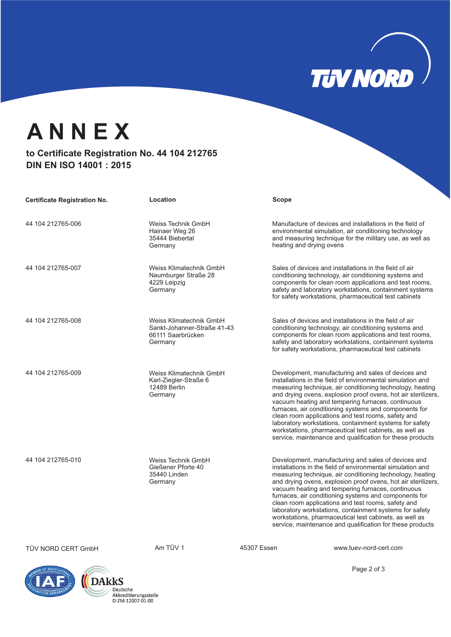## **TUV NORD**

## **A N N E X**

### to Certificate Registration No. 44 104 212765 **DIN EN ISO 14001 : 2015**

| <b>Certificate Registration No.</b> | Location                                                                               |             | Scope                                                                                                                                                                                                                                                                                                                                                                                                                                                                                                                                                                                                 |
|-------------------------------------|----------------------------------------------------------------------------------------|-------------|-------------------------------------------------------------------------------------------------------------------------------------------------------------------------------------------------------------------------------------------------------------------------------------------------------------------------------------------------------------------------------------------------------------------------------------------------------------------------------------------------------------------------------------------------------------------------------------------------------|
| 44 104 212765-006                   | Weiss Technik GmbH<br>Hainaer Weg 26<br>35444 Biebertal<br>Germany                     |             | Manufacture of devices and installations in the field of<br>environmental simulation, air conditioning technology<br>and measuring technique for the military use, as well as<br>heating and drying ovens                                                                                                                                                                                                                                                                                                                                                                                             |
| 44 104 212765-007                   | Weiss Klimatechnik GmbH<br>Naumburger Straße 28<br>4229 Leipzig<br>Germany             |             | Sales of devices and installations in the field of air<br>conditioning technology, air conditioning systems and<br>components for clean room applications and test rooms,<br>safety and laboratory workstations, containment systems<br>for safety workstations, pharmaceutical test cabinets                                                                                                                                                                                                                                                                                                         |
| 44 104 212765-008                   | Weiss Klimatechnik GmbH<br>Sankt-Johanner-Straße 41-43<br>66111 Saarbrücken<br>Germany |             | Sales of devices and installations in the field of air<br>conditioning technology, air conditioning systems and<br>components for clean room applications and test rooms,<br>safety and laboratory workstations, containment systems<br>for safety workstations, pharmaceutical test cabinets                                                                                                                                                                                                                                                                                                         |
| 44 104 212765-009                   | Weiss Klimatechnik GmbH<br>Karl-Ziegler-Straße 6<br>12489 Berlin<br>Germany            |             | Development, manufacturing and sales of devices and<br>installations in the field of environmental simulation and<br>measuring technique, air conditioning technology, heating<br>and drying ovens, explosion proof ovens, hot air sterilizers,<br>vacuum heating and tempering furnaces, continuous<br>furnaces, air conditioning systems and components for<br>clean room applications and test rooms, safety and<br>laboratory workstations, containment systems for safety<br>workstations, pharmaceutical test cabinets, as well as<br>service, maintenance and qualification for these products |
| 44 104 212765-010                   | Weiss Technik GmbH<br>Gießener Pforte 40<br>35440 Linden<br>Germany                    |             | Development, manufacturing and sales of devices and<br>installations in the field of environmental simulation and<br>measuring technique, air conditioning technology, heating<br>and drying ovens, explosion proof ovens, hot air sterilizers,<br>vacuum heating and tempering furnaces, continuous<br>furnaces, air conditioning systems and components for<br>clean room applications and test rooms, safety and<br>laboratory workstations, containment systems for safety<br>workstations, pharmaceutical test cabinets, as well as<br>service, maintenance and qualification for these products |
| TÜV NORD CERT GmbH                  | Am TÜV 1                                                                               | 45307 Essen | www.tuev-nord-cert.com                                                                                                                                                                                                                                                                                                                                                                                                                                                                                                                                                                                |





Page 2 of 3